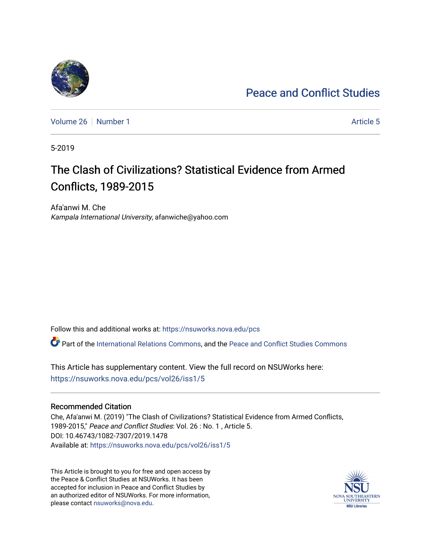# [Peace and Conflict Studies](https://nsuworks.nova.edu/pcs)

[Volume 26](https://nsuworks.nova.edu/pcs/vol26) [Number 1](https://nsuworks.nova.edu/pcs/vol26/iss1) Article 5

5-2019

# The Clash of Civilizations? Statistical Evidence from Armed Conflicts, 1989-2015

Afa'anwi M. Che Kampala International University, afanwiche@yahoo.com

Follow this and additional works at: [https://nsuworks.nova.edu/pcs](https://nsuworks.nova.edu/pcs?utm_source=nsuworks.nova.edu%2Fpcs%2Fvol26%2Fiss1%2F5&utm_medium=PDF&utm_campaign=PDFCoverPages)

Part of the [International Relations Commons,](http://network.bepress.com/hgg/discipline/389?utm_source=nsuworks.nova.edu%2Fpcs%2Fvol26%2Fiss1%2F5&utm_medium=PDF&utm_campaign=PDFCoverPages) and the [Peace and Conflict Studies Commons](http://network.bepress.com/hgg/discipline/397?utm_source=nsuworks.nova.edu%2Fpcs%2Fvol26%2Fiss1%2F5&utm_medium=PDF&utm_campaign=PDFCoverPages)

This Article has supplementary content. View the full record on NSUWorks here: <https://nsuworks.nova.edu/pcs/vol26/iss1/5>

## Recommended Citation

Che, Afa'anwi M. (2019) "The Clash of Civilizations? Statistical Evidence from Armed Conflicts, 1989-2015," Peace and Conflict Studies: Vol. 26 : No. 1 , Article 5. DOI: 10.46743/1082-7307/2019.1478 Available at: [https://nsuworks.nova.edu/pcs/vol26/iss1/5](https://nsuworks.nova.edu/pcs/vol26/iss1/5?utm_source=nsuworks.nova.edu%2Fpcs%2Fvol26%2Fiss1%2F5&utm_medium=PDF&utm_campaign=PDFCoverPages)

This Article is brought to you for free and open access by the Peace & Conflict Studies at NSUWorks. It has been accepted for inclusion in Peace and Conflict Studies by an authorized editor of NSUWorks. For more information, please contact [nsuworks@nova.edu](mailto:nsuworks@nova.edu).

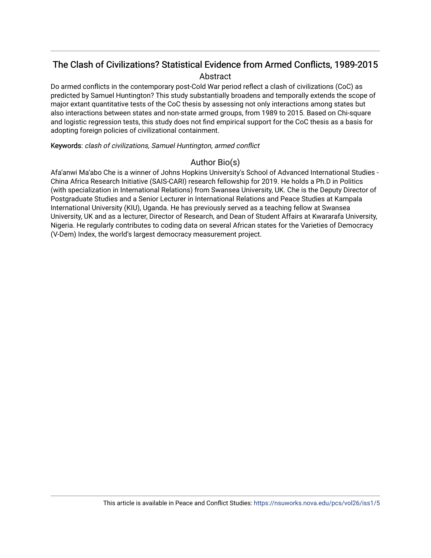## The Clash of Civilizations? Statistical Evidence from Armed Conflicts, 1989-2015 Abstract

Do armed conflicts in the contemporary post-Cold War period reflect a clash of civilizations (CoC) as predicted by Samuel Huntington? This study substantially broadens and temporally extends the scope of major extant quantitative tests of the CoC thesis by assessing not only interactions among states but also interactions between states and non-state armed groups, from 1989 to 2015. Based on Chi-square and logistic regression tests, this study does not find empirical support for the CoC thesis as a basis for adopting foreign policies of civilizational containment.

Keywords: clash of civilizations, Samuel Huntington, armed conflict

## Author Bio(s)

Afa'anwi Ma'abo Che is a winner of Johns Hopkins University's School of Advanced International Studies - China Africa Research Initiative (SAIS-CARI) research fellowship for 2019. He holds a Ph.D in Politics (with specialization in International Relations) from Swansea University, UK. Che is the Deputy Director of Postgraduate Studies and a Senior Lecturer in International Relations and Peace Studies at Kampala International University (KIU), Uganda. He has previously served as a teaching fellow at Swansea University, UK and as a lecturer, Director of Research, and Dean of Student Affairs at Kwararafa University, Nigeria. He regularly contributes to coding data on several African states for the Varieties of Democracy (V-Dem) Index, the world's largest democracy measurement project.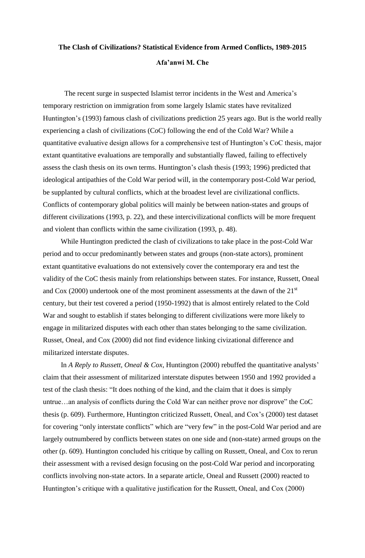## **The Clash of Civilizations? Statistical Evidence from Armed Conflicts, 1989-2015 Afa'anwi M. Che**

The recent surge in suspected Islamist terror incidents in the West and America's temporary restriction on immigration from some largely Islamic states have revitalized Huntington's (1993) famous clash of civilizations prediction 25 years ago. But is the world really experiencing a clash of civilizations (CoC) following the end of the Cold War? While a quantitative evaluative design allows for a comprehensive test of Huntington's CoC thesis, major extant quantitative evaluations are temporally and substantially flawed, failing to effectively assess the clash thesis on its own terms. Huntington's clash thesis (1993; 1996) predicted that ideological antipathies of the Cold War period will, in the contemporary post-Cold War period, be supplanted by cultural conflicts, which at the broadest level are civilizational conflicts. Conflicts of contemporary global politics will mainly be between nation-states and groups of different civilizations (1993, p. 22), and these intercivilizational conflicts will be more frequent and violent than conflicts within the same civilization (1993, p. 48).

 While Huntington predicted the clash of civilizations to take place in the post-Cold War period and to occur predominantly between states and groups (non-state actors), prominent extant quantitative evaluations do not extensively cover the contemporary era and test the validity of the CoC thesis mainly from relationships between states. For instance, Russett, Oneal and Cox (2000) undertook one of the most prominent assessments at the dawn of the  $21<sup>st</sup>$ century, but their test covered a period (1950-1992) that is almost entirely related to the Cold War and sought to establish if states belonging to different civilizations were more likely to engage in militarized disputes with each other than states belonging to the same civilization. Russet, Oneal, and Cox (2000) did not find evidence linking civizational difference and militarized interstate disputes.

 In *A Reply to Russett, Oneal & Cox*, Huntington (2000) rebuffed the quantitative analysts' claim that their assessment of militarized interstate disputes between 1950 and 1992 provided a test of the clash thesis: "It does nothing of the kind, and the claim that it does is simply untrue…an analysis of conflicts during the Cold War can neither prove nor disprove" the CoC thesis (p. 609). Furthermore, Huntington criticized Russett, Oneal, and Cox's (2000) test dataset for covering "only interstate conflicts" which are "very few" in the post-Cold War period and are largely outnumbered by conflicts between states on one side and (non-state) armed groups on the other (p. 609). Huntington concluded his critique by calling on Russett, Oneal, and Cox to rerun their assessment with a revised design focusing on the post-Cold War period and incorporating conflicts involving non-state actors. In a separate article, Oneal and Russett (2000) reacted to Huntington's critique with a qualitative justification for the Russett, Oneal, and Cox (2000)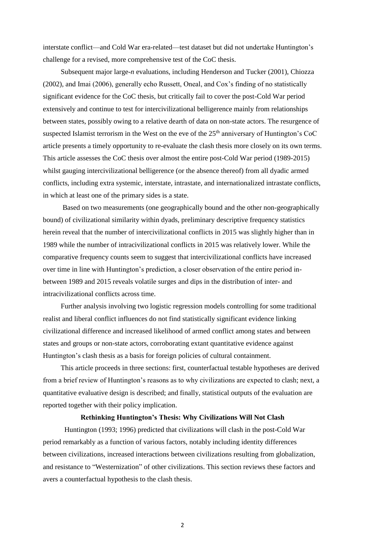interstate conflict—and Cold War era-related—test dataset but did not undertake Huntington's challenge for a revised, more comprehensive test of the CoC thesis.

 Subsequent major large-*n* evaluations, including Henderson and Tucker (2001), Chiozza (2002), and Imai (2006), generally echo Russett, Oneal, and Cox's finding of no statistically significant evidence for the CoC thesis, but critically fail to cover the post-Cold War period extensively and continue to test for intercivilizational belligerence mainly from relationships between states, possibly owing to a relative dearth of data on non-state actors. The resurgence of suspected Islamist terrorism in the West on the eve of the  $25<sup>th</sup>$  anniversary of Huntington's CoC article presents a timely opportunity to re-evaluate the clash thesis more closely on its own terms. This article assesses the CoC thesis over almost the entire post-Cold War period (1989-2015) whilst gauging intercivilizational belligerence (or the absence thereof) from all dyadic armed conflicts, including extra systemic, interstate, intrastate, and internationalized intrastate conflicts, in which at least one of the primary sides is a state.

 Based on two measurements (one geographically bound and the other non-geographically bound) of civilizational similarity within dyads, preliminary descriptive frequency statistics herein reveal that the number of intercivilizational conflicts in 2015 was slightly higher than in 1989 while the number of intracivilizational conflicts in 2015 was relatively lower. While the comparative frequency counts seem to suggest that intercivilizational conflicts have increased over time in line with Huntington's prediction, a closer observation of the entire period inbetween 1989 and 2015 reveals volatile surges and dips in the distribution of inter- and intracivilizational conflicts across time.

 Further analysis involving two logistic regression models controlling for some traditional realist and liberal conflict influences do not find statistically significant evidence linking civilizational difference and increased likelihood of armed conflict among states and between states and groups or non-state actors, corroborating extant quantitative evidence against Huntington's clash thesis as a basis for foreign policies of cultural containment.

 This article proceeds in three sections: first, counterfactual testable hypotheses are derived from a brief review of Huntington's reasons as to why civilizations are expected to clash; next, a quantitative evaluative design is described; and finally, statistical outputs of the evaluation are reported together with their policy implication.

## **Rethinking Huntington's Thesis: Why Civilizations Will Not Clash**

Huntington (1993; 1996) predicted that civilizations will clash in the post-Cold War period remarkably as a function of various factors, notably including identity differences between civilizations, increased interactions between civilizations resulting from globalization, and resistance to "Westernization" of other civilizations. This section reviews these factors and avers a counterfactual hypothesis to the clash thesis.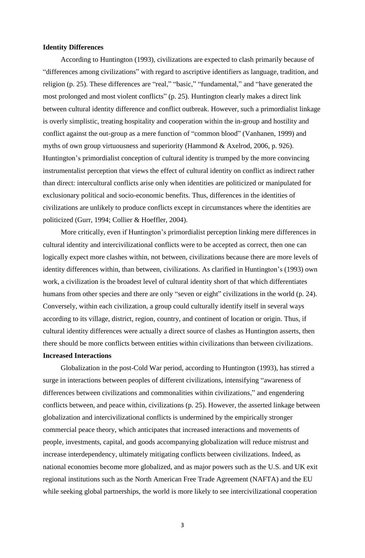## **Identity Differences**

 According to Huntington (1993), civilizations are expected to clash primarily because of "differences among civilizations" with regard to ascriptive identifiers as language, tradition, and religion (p. 25). These differences are "real," "basic," "fundamental," and "have generated the most prolonged and most violent conflicts" (p. 25). Huntington clearly makes a direct link between cultural identity difference and conflict outbreak. However, such a primordialist linkage is overly simplistic, treating hospitality and cooperation within the in-group and hostility and conflict against the out-group as a mere function of "common blood" (Vanhanen, 1999) and myths of own group virtuousness and superiority (Hammond & Axelrod, 2006, p. 926). Huntington's primordialist conception of cultural identity is trumped by the more convincing instrumentalist perception that views the effect of cultural identity on conflict as indirect rather than direct: intercultural conflicts arise only when identities are politicized or manipulated for exclusionary political and socio-economic benefits. Thus, differences in the identities of civilizations are unlikely to produce conflicts except in circumstances where the identities are politicized (Gurr, 1994; Collier & Hoeffler, 2004).

 More critically, even if Huntington's primordialist perception linking mere differences in cultural identity and intercivilizational conflicts were to be accepted as correct, then one can logically expect more clashes within, not between, civilizations because there are more levels of identity differences within, than between, civilizations. As clarified in Huntington's (1993) own work, a civilization is the broadest level of cultural identity short of that which differentiates humans from other species and there are only "seven or eight" civilizations in the world (p. 24). Conversely, within each civilization, a group could culturally identify itself in several ways according to its village, district, region, country, and continent of location or origin. Thus, if cultural identity differences were actually a direct source of clashes as Huntington asserts, then there should be more conflicts between entities within civilizations than between civilizations. **Increased Interactions**

 Globalization in the post-Cold War period, according to Huntington (1993), has stirred a surge in interactions between peoples of different civilizations, intensifying "awareness of differences between civilizations and commonalities within civilizations," and engendering conflicts between, and peace within, civilizations (p. 25). However, the asserted linkage between globalization and intercivilizational conflicts is undermined by the empirically stronger commercial peace theory, which anticipates that increased interactions and movements of people, investments, capital, and goods accompanying globalization will reduce mistrust and increase interdependency, ultimately mitigating conflicts between civilizations. Indeed, as national economies become more globalized, and as major powers such as the U.S. and UK exit regional institutions such as the North American Free Trade Agreement (NAFTA) and the EU while seeking global partnerships, the world is more likely to see intercivilizational cooperation

3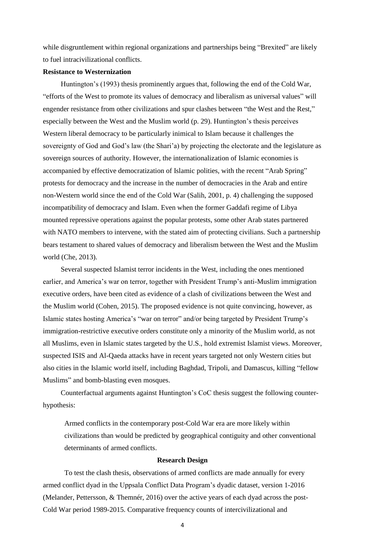while disgruntlement within regional organizations and partnerships being "Brexited" are likely to fuel intracivilizational conflicts.

## **Resistance to Westernization**

 Huntington's (1993) thesis prominently argues that, following the end of the Cold War, "efforts of the West to promote its values of democracy and liberalism as universal values" will engender resistance from other civilizations and spur clashes between "the West and the Rest," especially between the West and the Muslim world (p. 29). Huntington's thesis perceives Western liberal democracy to be particularly inimical to Islam because it challenges the sovereignty of God and God's law (the Shari'a) by projecting the electorate and the legislature as sovereign sources of authority. However, the internationalization of Islamic economies is accompanied by effective democratization of Islamic polities, with the recent "Arab Spring" protests for democracy and the increase in the number of democracies in the Arab and entire non-Western world since the end of the Cold War (Salih, 2001, p. 4) challenging the supposed incompatibility of democracy and Islam. Even when the former Gaddafi regime of Libya mounted repressive operations against the popular protests, some other Arab states partnered with NATO members to intervene, with the stated aim of protecting civilians. Such a partnership bears testament to shared values of democracy and liberalism between the West and the Muslim world (Che, 2013).

 Several suspected Islamist terror incidents in the West, including the ones mentioned earlier, and America's war on terror, together with President Trump's anti-Muslim immigration executive orders, have been cited as evidence of a clash of civilizations between the West and the Muslim world (Cohen, 2015). The proposed evidence is not quite convincing, however, as Islamic states hosting America's "war on terror" and/or being targeted by President Trump's immigration-restrictive executive orders constitute only a minority of the Muslim world, as not all Muslims, even in Islamic states targeted by the U.S., hold extremist Islamist views. Moreover, suspected ISIS and Al-Qaeda attacks have in recent years targeted not only Western cities but also cities in the Islamic world itself, including Baghdad, Tripoli, and Damascus, killing "fellow Muslims" and bomb-blasting even mosques.

 Counterfactual arguments against Huntington's CoC thesis suggest the following counterhypothesis:

Armed conflicts in the contemporary post-Cold War era are more likely within civilizations than would be predicted by geographical contiguity and other conventional determinants of armed conflicts.

#### **Research Design**

To test the clash thesis, observations of armed conflicts are made annually for every armed conflict dyad in the Uppsala Conflict Data Program's dyadic dataset, version 1-2016 (Melander, Pettersson, & Themnér, 2016) over the active years of each dyad across the post-Cold War period 1989-2015. Comparative frequency counts of intercivilizational and

4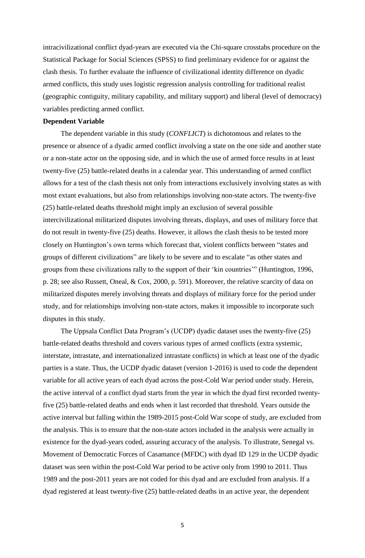intracivilizational conflict dyad-years are executed via the Chi-square crosstabs procedure on the Statistical Package for Social Sciences (SPSS) to find preliminary evidence for or against the clash thesis. To further evaluate the influence of civilizational identity difference on dyadic armed conflicts, this study uses logistic regression analysis controlling for traditional realist (geographic contiguity, military capability, and military support) and liberal (level of democracy) variables predicting armed conflict.

### **Dependent Variable**

 The dependent variable in this study (*CONFLICT*) is dichotomous and relates to the presence or absence of a dyadic armed conflict involving a state on the one side and another state or a non-state actor on the opposing side, and in which the use of armed force results in at least twenty-five (25) battle-related deaths in a calendar year. This understanding of armed conflict allows for a test of the clash thesis not only from interactions exclusively involving states as with most extant evaluations, but also from relationships involving non-state actors. The twenty-five (25) battle-related deaths threshold might imply an exclusion of several possible intercivilizational militarized disputes involving threats, displays, and uses of military force that do not result in twenty-five (25) deaths. However, it allows the clash thesis to be tested more closely on Huntington's own terms which forecast that, violent conflicts between "states and groups of different civilizations" are likely to be severe and to escalate "as other states and groups from these civilizations rally to the support of their 'kin countries'" (Huntington, 1996, p. 28; see also Russett, Oneal, & Cox, 2000, p. 591). Moreover, the relative scarcity of data on militarized disputes merely involving threats and displays of military force for the period under study, and for relationships involving non-state actors, makes it impossible to incorporate such disputes in this study.

 The Uppsala Conflict Data Program's (UCDP) dyadic dataset uses the twenty-five (25) battle-related deaths threshold and covers various types of armed conflicts (extra systemic, interstate, intrastate, and internationalized intrastate conflicts) in which at least one of the dyadic parties is a state. Thus, the UCDP dyadic dataset (version 1-2016) is used to code the dependent variable for all active years of each dyad across the post-Cold War period under study. Herein, the active interval of a conflict dyad starts from the year in which the dyad first recorded twentyfive (25) battle-related deaths and ends when it last recorded that threshold. Years outside the active interval but falling within the 1989-2015 post-Cold War scope of study, are excluded from the analysis. This is to ensure that the non-state actors included in the analysis were actually in existence for the dyad-years coded, assuring accuracy of the analysis. To illustrate, Senegal vs. Movement of Democratic Forces of Casamance (MFDC) with dyad ID 129 in the UCDP dyadic dataset was seen within the post-Cold War period to be active only from 1990 to 2011. Thus 1989 and the post-2011 years are not coded for this dyad and are excluded from analysis. If a dyad registered at least twenty-five (25) battle-related deaths in an active year, the dependent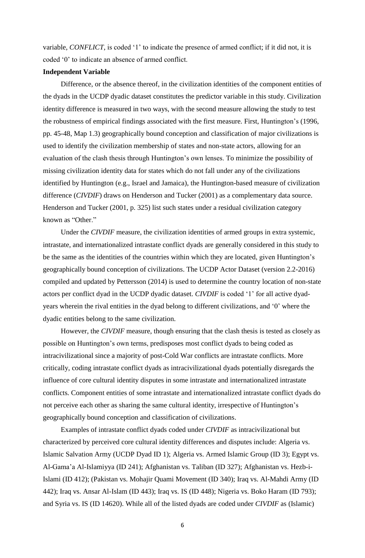variable, *CONFLICT*, is coded '1' to indicate the presence of armed conflict; if it did not, it is coded '0' to indicate an absence of armed conflict.

#### **Independent Variable**

 Difference, or the absence thereof, in the civilization identities of the component entities of the dyads in the UCDP dyadic dataset constitutes the predictor variable in this study. Civilization identity difference is measured in two ways, with the second measure allowing the study to test the robustness of empirical findings associated with the first measure. First, Huntington's (1996, pp. 45-48, Map 1.3) geographically bound conception and classification of major civilizations is used to identify the civilization membership of states and non-state actors, allowing for an evaluation of the clash thesis through Huntington's own lenses. To minimize the possibility of missing civilization identity data for states which do not fall under any of the civilizations identified by Huntington (e.g., Israel and Jamaica), the Huntington-based measure of civilization difference (*CIVDIF*) draws on Henderson and Tucker (2001) as a complementary data source. Henderson and Tucker (2001, p. 325) list such states under a residual civilization category known as "Other."

 Under the *CIVDIF* measure, the civilization identities of armed groups in extra systemic, intrastate, and internationalized intrastate conflict dyads are generally considered in this study to be the same as the identities of the countries within which they are located, given Huntington's geographically bound conception of civilizations. The UCDP Actor Dataset (version 2.2-2016) compiled and updated by Pettersson (2014) is used to determine the country location of non-state actors per conflict dyad in the UCDP dyadic dataset. *CIVDIF* is coded '1' for all active dyadyears wherein the rival entities in the dyad belong to different civilizations, and '0' where the dyadic entities belong to the same civilization.

 However, the *CIVDIF* measure, though ensuring that the clash thesis is tested as closely as possible on Huntington's own terms, predisposes most conflict dyads to being coded as intracivilizational since a majority of post-Cold War conflicts are intrastate conflicts. More critically, coding intrastate conflict dyads as intracivilizational dyads potentially disregards the influence of core cultural identity disputes in some intrastate and internationalized intrastate conflicts. Component entities of some intrastate and internationalized intrastate conflict dyads do not perceive each other as sharing the same cultural identity, irrespective of Huntington's geographically bound conception and classification of civilizations.

 Examples of intrastate conflict dyads coded under *CIVDIF* as intracivilizational but characterized by perceived core cultural identity differences and disputes include: Algeria vs. Islamic Salvation Army (UCDP Dyad ID 1); Algeria vs. Armed Islamic Group (ID 3); Egypt vs. Al-Gama'a Al-Islamiyya (ID 241); Afghanistan vs. Taliban (ID 327); Afghanistan vs. Hezb-i-Islami (ID 412); (Pakistan vs. Mohajir Quami Movement (ID 340); Iraq vs. Al-Mahdi Army (ID 442); Iraq vs. Ansar Al-Islam (ID 443); Iraq vs. IS (ID 448); Nigeria vs. Boko Haram (ID 793); and Syria vs. IS (ID 14620). While all of the listed dyads are coded under *CIVDIF* as (Islamic)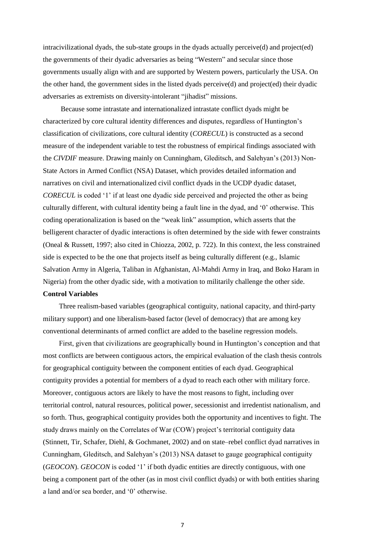intracivilizational dyads, the sub-state groups in the dyads actually perceive(d) and project(ed) the governments of their dyadic adversaries as being "Western" and secular since those governments usually align with and are supported by Western powers, particularly the USA. On the other hand, the government sides in the listed dyads perceive(d) and project(ed) their dyadic adversaries as extremists on diversity-intolerant "jihadist" missions.

 Because some intrastate and internationalized intrastate conflict dyads might be characterized by core cultural identity differences and disputes, regardless of Huntington's classification of civilizations, core cultural identity (*CORECUL*) is constructed as a second measure of the independent variable to test the robustness of empirical findings associated with the *CIVDIF* measure. Drawing mainly on Cunningham, Gleditsch, and Salehyan's (2013) Non-State Actors in Armed Conflict (NSA) Dataset, which provides detailed information and narratives on civil and internationalized civil conflict dyads in the UCDP dyadic dataset, *CORECUL* is coded '1' if at least one dyadic side perceived and projected the other as being culturally different, with cultural identity being a fault line in the dyad, and '0' otherwise. This coding operationalization is based on the "weak link" assumption, which asserts that the belligerent character of dyadic interactions is often determined by the side with fewer constraints (Oneal & Russett, 1997; also cited in Chiozza, 2002, p. 722). In this context, the less constrained side is expected to be the one that projects itself as being culturally different (e.g., Islamic Salvation Army in Algeria, Taliban in Afghanistan, Al-Mahdi Army in Iraq, and Boko Haram in Nigeria) from the other dyadic side, with a motivation to militarily challenge the other side. **Control Variables**

 Three realism-based variables (geographical contiguity, national capacity, and third-party military support) and one liberalism-based factor (level of democracy) that are among key conventional determinants of armed conflict are added to the baseline regression models.

 First, given that civilizations are geographically bound in Huntington's conception and that most conflicts are between contiguous actors, the empirical evaluation of the clash thesis controls for geographical contiguity between the component entities of each dyad. Geographical contiguity provides a potential for members of a dyad to reach each other with military force. Moreover, contiguous actors are likely to have the most reasons to fight, including over territorial control, natural resources, political power, secessionist and irredentist nationalism, and so forth. Thus, geographical contiguity provides both the opportunity and incentives to fight. The study draws mainly on the Correlates of War (COW) project's territorial contiguity data (Stinnett, Tir, Schafer, Diehl, & Gochmanet, 2002) and on state–rebel conflict dyad narratives in Cunningham, Gleditsch, and Salehyan's (2013) NSA dataset to gauge geographical contiguity (*GEOCON*). *GEOCON* is coded '1' if both dyadic entities are directly contiguous, with one being a component part of the other (as in most civil conflict dyads) or with both entities sharing a land and/or sea border, and '0' otherwise.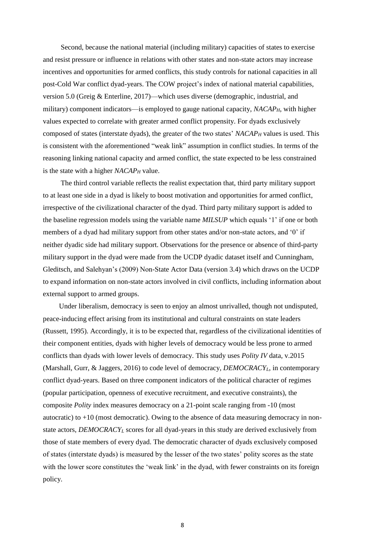Second, because the national material (including military) capacities of states to exercise and resist pressure or influence in relations with other states and non-state actors may increase incentives and opportunities for armed conflicts, this study controls for national capacities in all post-Cold War conflict dyad-years. The COW project's index of national material capabilities, version 5.0 (Greig & Enterline, 2017)—which uses diverse (demographic, industrial, and military) component indicators—is employed to gauge national capacity, *NACAPH*, with higher values expected to correlate with greater armed conflict propensity. For dyads exclusively composed of states (interstate dyads), the greater of the two states' *NACAP<sup>H</sup>* values is used. This is consistent with the aforementioned "weak link" assumption in conflict studies. In terms of the reasoning linking national capacity and armed conflict, the state expected to be less constrained is the state with a higher *NACAP<sup>H</sup>* value.

 The third control variable reflects the realist expectation that, third party military support to at least one side in a dyad is likely to boost motivation and opportunities for armed conflict, irrespective of the civilizational character of the dyad. Third party military support is added to the baseline regression models using the variable name *MILSUP* which equals '1' if one or both members of a dyad had military support from other states and/or non-state actors, and '0' if neither dyadic side had military support. Observations for the presence or absence of third-party military support in the dyad were made from the UCDP dyadic dataset itself and Cunningham, Gleditsch, and Salehyan's (2009) Non-State Actor Data (version 3.4) which draws on the UCDP to expand information on non-state actors involved in civil conflicts, including information about external support to armed groups.

 Under liberalism, democracy is seen to enjoy an almost unrivalled, though not undisputed, peace-inducing effect arising from its institutional and cultural constraints on state leaders (Russett, 1995). Accordingly, it is to be expected that, regardless of the civilizational identities of their component entities, dyads with higher levels of democracy would be less prone to armed conflicts than dyads with lower levels of democracy. This study uses *Polity IV* data, v.2015 (Marshall, Gurr, & Jaggers, 2016) to code level of democracy, *DEMOCRACYL*, in contemporary conflict dyad-years. Based on three component indicators of the political character of regimes (popular participation, openness of executive recruitment, and executive constraints), the composite *Polity* index measures democracy on a 21-point scale ranging from -10 (most autocratic) to  $+10$  (most democratic). Owing to the absence of data measuring democracy in nonstate actors, *DEMOCRACY<sup>L</sup>* scores for all dyad-years in this study are derived exclusively from those of state members of every dyad. The democratic character of dyads exclusively composed of states (interstate dyads) is measured by the lesser of the two states' polity scores as the state with the lower score constitutes the 'weak link' in the dyad, with fewer constraints on its foreign policy.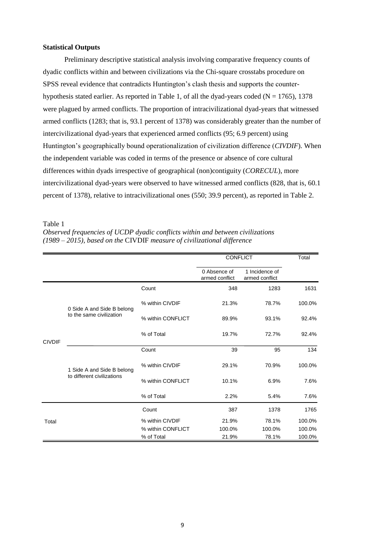## **Statistical Outputs**

Preliminary descriptive statistical analysis involving comparative frequency counts of dyadic conflicts within and between civilizations via the Chi-square crosstabs procedure on SPSS reveal evidence that contradicts Huntington's clash thesis and supports the counterhypothesis stated earlier. As reported in Table 1, of all the dyad-years coded ( $N = 1765$ ), 1378 were plagued by armed conflicts. The proportion of intracivilizational dyad-years that witnessed armed conflicts (1283; that is, 93.1 percent of 1378) was considerably greater than the number of intercivilizational dyad-years that experienced armed conflicts (95; 6.9 percent) using Huntington's geographically bound operationalization of civilization difference (*CIVDIF*). When the independent variable was coded in terms of the presence or absence of core cultural differences within dyads irrespective of geographical (non)contiguity (*CORECUL*), more intercivilizational dyad-years were observed to have witnessed armed conflicts (828, that is, 60.1 percent of 1378), relative to intracivilizational ones (550; 39.9 percent), as reported in Table 2.

#### Table 1

*Observed frequencies of UCDP dyadic conflicts within and between civilizations (1989 – 2015), based on the* CIVDIF *measure of civilizational difference*

|               |                                                          |                   |                                | <b>CONFLICT</b>                  |        |
|---------------|----------------------------------------------------------|-------------------|--------------------------------|----------------------------------|--------|
|               |                                                          |                   | 0 Absence of<br>armed conflict | 1 Incidence of<br>armed conflict |        |
|               | 0 Side A and Side B belong<br>to the same civilization   | Count             | 348                            | 1283                             | 1631   |
|               |                                                          | % within CIVDIF   | 21.3%                          | 78.7%                            | 100.0% |
|               |                                                          | % within CONFLICT | 89.9%                          | 93.1%                            | 92.4%  |
| <b>CIVDIF</b> |                                                          | % of Total        | 19.7%                          | 72.7%                            | 92.4%  |
|               | 1 Side A and Side B belong<br>to different civilizations | Count             | 39                             | 95                               | 134    |
|               |                                                          | % within CIVDIF   | 29.1%                          | 70.9%                            | 100.0% |
|               |                                                          | % within CONFLICT | 10.1%                          | 6.9%                             | 7.6%   |
|               |                                                          | % of Total        | 2.2%                           | 5.4%                             | 7.6%   |
|               |                                                          | Count             | 387                            | 1378                             | 1765   |
| Total         |                                                          | % within CIVDIF   | 21.9%                          | 78.1%                            | 100.0% |
|               |                                                          | % within CONFLICT | 100.0%                         | 100.0%                           | 100.0% |
|               |                                                          | % of Total        | 21.9%                          | 78.1%                            | 100.0% |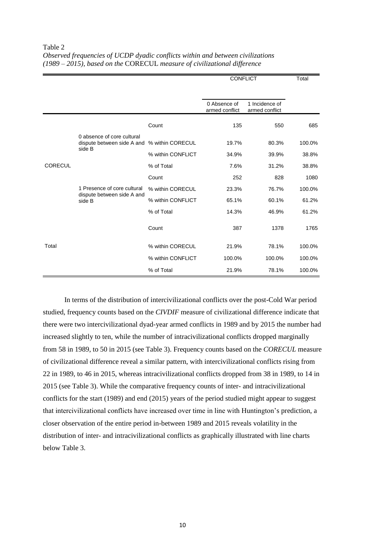| Observed frequencies of UCDP dyadic conflicts within and between civilizations |  |
|--------------------------------------------------------------------------------|--|
| (1989 – 2015), based on the CORECUL measure of civilizational difference       |  |

|                |                                                                     |                   | <b>CONFLICT</b>                |                                  | Total  |
|----------------|---------------------------------------------------------------------|-------------------|--------------------------------|----------------------------------|--------|
|                |                                                                     |                   |                                |                                  |        |
|                |                                                                     |                   | 0 Absence of<br>armed conflict | 1 Incidence of<br>armed conflict |        |
|                |                                                                     | Count             | 135                            | 550                              | 685    |
|                | 0 absence of core cultural<br>dispute between side A and            | % within CORECUL  | 19.7%                          | 80.3%                            | 100.0% |
|                | side B                                                              | % within CONFLICT | 34.9%                          | 39.9%                            | 38.8%  |
| <b>CORECUL</b> | 1 Presence of core cultural<br>dispute between side A and<br>side B | % of Total        | 7.6%                           | 31.2%                            | 38.8%  |
|                |                                                                     | Count             | 252                            | 828                              | 1080   |
|                |                                                                     | % within CORECUL  | 23.3%                          | 76.7%                            | 100.0% |
|                |                                                                     | % within CONFLICT | 65.1%                          | 60.1%                            | 61.2%  |
|                |                                                                     | % of Total        | 14.3%                          | 46.9%                            | 61.2%  |
|                |                                                                     | Count             | 387                            | 1378                             | 1765   |
| Total          |                                                                     | % within CORECUL  | 21.9%                          | 78.1%                            | 100.0% |
|                |                                                                     | % within CONFLICT | 100.0%                         | 100.0%                           | 100.0% |
|                |                                                                     | % of Total        | 21.9%                          | 78.1%                            | 100.0% |

In terms of the distribution of intercivilizational conflicts over the post-Cold War period studied, frequency counts based on the *CIVDIF* measure of civilizational difference indicate that there were two intercivilizational dyad-year armed conflicts in 1989 and by 2015 the number had increased slightly to ten, while the number of intracivilizational conflicts dropped marginally from 58 in 1989, to 50 in 2015 (see Table 3). Frequency counts based on the *CORECUL* measure of civilizational difference reveal a similar pattern, with intercivilizational conflicts rising from 22 in 1989, to 46 in 2015, whereas intracivilizational conflicts dropped from 38 in 1989, to 14 in 2015 (see Table 3). While the comparative frequency counts of inter- and intracivilizational conflicts for the start (1989) and end (2015) years of the period studied might appear to suggest that intercivilizational conflicts have increased over time in line with Huntington's prediction, a closer observation of the entire period in-between 1989 and 2015 reveals volatility in the distribution of inter- and intracivilizational conflicts as graphically illustrated with line charts below Table 3.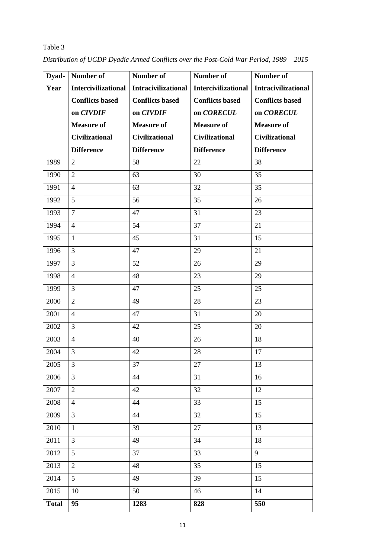| Dyad-        | Number of                  | Number of                  | Number of                  | Number of                  |
|--------------|----------------------------|----------------------------|----------------------------|----------------------------|
| Year         | <b>Intercivilizational</b> | <b>Intracivilizational</b> | <b>Intercivilizational</b> | <b>Intracivilizational</b> |
|              | <b>Conflicts based</b>     | <b>Conflicts based</b>     | <b>Conflicts based</b>     | <b>Conflicts based</b>     |
|              | on CIVDIF                  | on CIVDIF                  | on CORECUL                 | on CORECUL                 |
|              | <b>Measure of</b>          | <b>Measure of</b>          | <b>Measure of</b>          | <b>Measure of</b>          |
|              | <b>Civilizational</b>      | <b>Civilizational</b>      | <b>Civilizational</b>      | <b>Civilizational</b>      |
|              | <b>Difference</b>          | <b>Difference</b>          | <b>Difference</b>          | <b>Difference</b>          |
| 1989         | $\overline{2}$             | 58                         | 22                         | 38                         |
| 1990         | $\overline{2}$             | 63                         | 30                         | 35                         |
| 1991         | $\overline{4}$             | 63                         | 32                         | 35                         |
| 1992         | 5                          | 56                         | 35                         | 26                         |
| 1993         | $\overline{7}$             | 47                         | 31                         | 23                         |
| 1994         | $\overline{4}$             | 54                         | 37                         | 21                         |
| 1995         | $\mathbf{1}$               | 45                         | 31                         | 15                         |
| 1996         | $\overline{3}$             | 47                         | 29                         | 21                         |
| 1997         | $\overline{3}$             | 52                         | 26                         | 29                         |
| 1998         | $\overline{4}$             | 48                         | 23                         | 29                         |
| 1999         | $\overline{3}$             | 47                         | 25                         | 25                         |
| 2000         | $\overline{2}$             | 49                         | 28                         | 23                         |
| 2001         | $\overline{4}$             | 47                         | 31                         | 20                         |
| 2002         | $\overline{3}$             | 42                         | 25                         | 20                         |
| 2003         | $\overline{4}$             | 40                         | 26                         | 18                         |
| 2004         | $\overline{3}$             | 42                         | 28                         | 17                         |
| 2005         | $\overline{3}$             | 37                         | 27                         | 13                         |
| 2006         | $\mathfrak{Z}$             | 44                         | 31                         | 16                         |
| 2007         | $\overline{2}$             | 42                         | 32                         | 12                         |
| 2008         | $\overline{4}$             | 44                         | 33                         | 15                         |
| 2009         | $\overline{3}$             | 44                         | 32                         | 15                         |
| 2010         | $\mathbf{1}$               | 39                         | 27                         | 13                         |
| 2011         | $\overline{3}$             | 49                         | 34                         | 18                         |
| 2012         | 5                          | 37                         | 33                         | 9                          |
| 2013         | $\overline{2}$             | 48                         | 35                         | 15                         |
| 2014         | 5                          | 49                         | 39                         | 15                         |
| 2015         | 10                         | 50                         | 46                         | 14                         |
| <b>Total</b> | 95                         | 1283                       | 828                        | 550                        |

*Distribution of UCDP Dyadic Armed Conflicts over the Post-Cold War Period, 1989 – 2015*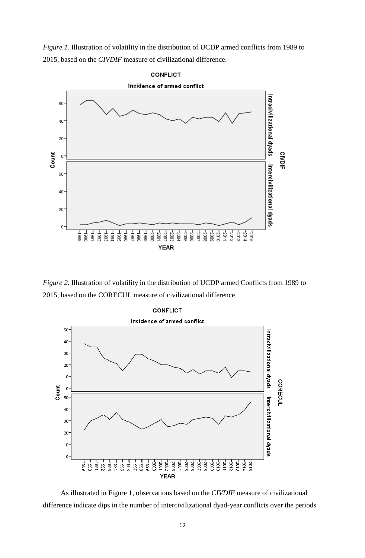*Figure 1*. Illustration of volatility in the distribution of UCDP armed conflicts from 1989 to 2015, based on the *CIVDIF* measure of civilizational difference.



*Figure 2.* Illustration of volatility in the distribution of UCDP armed Conflicts from 1989 to 2015, based on the CORECUL measure of civilizational difference



 As illustrated in Figure 1, observations based on the *CIVDIF* measure of civilizational difference indicate dips in the number of intercivilizational dyad-year conflicts over the periods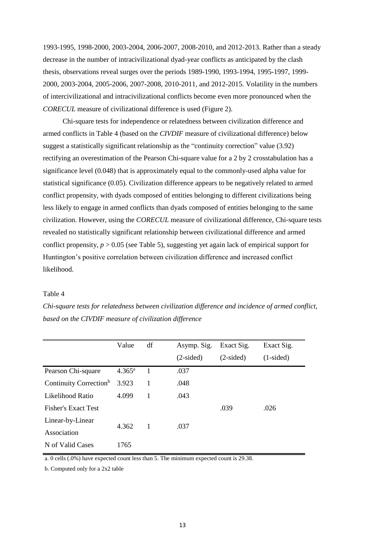1993-1995, 1998-2000, 2003-2004, 2006-2007, 2008-2010, and 2012-2013. Rather than a steady decrease in the number of intracivilizational dyad-year conflicts as anticipated by the clash thesis, observations reveal surges over the periods 1989-1990, 1993-1994, 1995-1997, 1999- 2000, 2003-2004, 2005-2006, 2007-2008, 2010-2011, and 2012-2015. Volatility in the numbers of intercivilizational and intracivilizational conflicts become even more pronounced when the *CORECUL* measure of civilizational difference is used (Figure 2).

 Chi-square tests for independence or relatedness between civilization difference and armed conflicts in Table 4 (based on the *CIVDIF* measure of civilizational difference) below suggest a statistically significant relationship as the "continuity correction" value (3.92) rectifying an overestimation of the Pearson Chi-square value for a 2 by 2 crosstabulation has a significance level (0.048) that is approximately equal to the commonly-used alpha value for statistical significance (0.05). Civilization difference appears to be negatively related to armed conflict propensity, with dyads composed of entities belonging to different civilizations being less likely to engage in armed conflicts than dyads composed of entities belonging to the same civilization. However, using the *CORECUL* measure of civilizational difference, Chi-square tests revealed no statistically significant relationship between civilizational difference and armed conflict propensity,  $p > 0.05$  (see Table 5), suggesting yet again lack of empirical support for Huntington's positive correlation between civilization difference and increased conflict likelihood.

### Table 4

*Chi-square tests for relatedness between civilization difference and incidence of armed conflict, based on the CIVDIF measure of civilization difference*

|                                    | Value           | df | Asymp. Sig. | Exact Sig.  | Exact Sig.  |
|------------------------------------|-----------------|----|-------------|-------------|-------------|
|                                    |                 |    | $(2-sided)$ | $(2-sided)$ | $(1-sided)$ |
| Pearson Chi-square                 | $4.365^{\rm a}$ |    | .037        |             |             |
| Continuity Correction <sup>b</sup> | 3.923           |    | .048        |             |             |
| Likelihood Ratio                   | 4.099           | 1  | .043        |             |             |
| <b>Fisher's Exact Test</b>         |                 |    |             | .039        | .026        |
| Linear-by-Linear                   | 4.362           | 1  | .037        |             |             |
| Association                        |                 |    |             |             |             |
| N of Valid Cases                   | 1765            |    |             |             |             |

a. 0 cells (.0%) have expected count less than 5. The minimum expected count is 29.38.

b. Computed only for a 2x2 table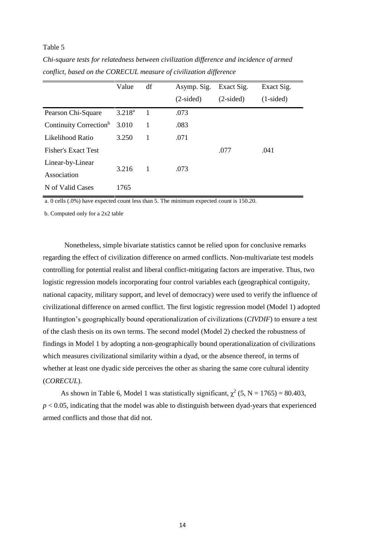|                                    | Value       | df | Asymp. Sig. | Exact Sig.  | Exact Sig.  |
|------------------------------------|-------------|----|-------------|-------------|-------------|
|                                    |             |    | $(2-sided)$ | $(2-sided)$ | $(1-sided)$ |
| Pearson Chi-Square                 | $3.218^{a}$ | 1  | .073        |             |             |
| Continuity Correction <sup>b</sup> | 3.010       | 1  | .083        |             |             |
| Likelihood Ratio                   | 3.250       | 1  | .071        |             |             |
| <b>Fisher's Exact Test</b>         |             |    |             | .077        | .041        |
| Linear-by-Linear                   | 3.216       | 1  | .073        |             |             |
| Association                        |             |    |             |             |             |
| N of Valid Cases                   | 1765        |    |             |             |             |

*Chi-square tests for relatedness between civilization difference and incidence of armed conflict, based on the CORECUL measure of civilization difference*

a. 0 cells (.0%) have expected count less than 5. The minimum expected count is 150.20.

b. Computed only for a 2x2 table

Nonetheless, simple bivariate statistics cannot be relied upon for conclusive remarks regarding the effect of civilization difference on armed conflicts. Non-multivariate test models controlling for potential realist and liberal conflict-mitigating factors are imperative. Thus, two logistic regression models incorporating four control variables each (geographical contiguity, national capacity, military support, and level of democracy) were used to verify the influence of civilizational difference on armed conflict. The first logistic regression model (Model 1) adopted Huntington's geographically bound operationalization of civilizations (*CIVDIF*) to ensure a test of the clash thesis on its own terms. The second model (Model 2) checked the robustness of findings in Model 1 by adopting a non-geographically bound operationalization of civilizations which measures civilizational similarity within a dyad, or the absence thereof, in terms of whether at least one dyadic side perceives the other as sharing the same core cultural identity (*CORECUL*).

As shown in Table 6, Model 1 was statistically significant,  $\chi^2$  (5, N = 1765) = 80.403,  $p < 0.05$ , indicating that the model was able to distinguish between dyad-years that experienced armed conflicts and those that did not.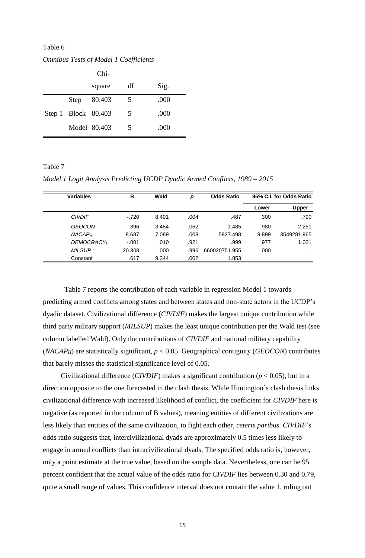Table 6

|                     | $Chi-$       |    |      |
|---------------------|--------------|----|------|
|                     | square       | df | Sig. |
| Step                | 80.403       | 5  | .000 |
| Step 1 Block 80.403 |              | 5  | .000 |
|                     | Model 80.403 | 5  | .000 |

*Omnibus Tests of Model 1 Coefficients*

*Model 1 Logit Analysis Predicting UCDP Dyadic Armed Conflicts, 1989 – 2015*

| <b>Variables</b> |                          | в       | Wald  | р    | <b>Odds Ratio</b> |       | 95% C.I. for Odds Ratio |
|------------------|--------------------------|---------|-------|------|-------------------|-------|-------------------------|
|                  |                          |         |       |      |                   | Lower | <b>Upper</b>            |
| <b>CIVDIF</b>    |                          | $-.720$ | 8.491 | .004 | .487              | .300  | .790                    |
|                  | <b>GEOCON</b>            | .396    | 3.484 | .062 | 1.485             | .980  | 2.251                   |
|                  | <b>NACAP<sub>H</sub></b> | 8.687   | 7.089 | .008 | 5927.498          | 9.899 | 3549281.965             |
|                  | <b>DEMOCRACY</b> L       | $-.001$ | .010  | .921 | .999              | .977  | 1.021                   |
|                  | <b>MILSUP</b>            | 20.308  | .000  | .996 | 660020751.955     | .000  |                         |
|                  | Constant                 | .617    | 9.344 | .002 | 1.853             |       |                         |

Table 7 reports the contribution of each variable in regression Model 1 towards predicting armed conflicts among states and between states and non-state actors in the UCDP's dyadic dataset. Civilizational difference (*CIVDIF*) makes the largest unique contribution while third party military support (*MILSUP*) makes the least unique contribution per the Wald test (see column labelled Wald). Only the contributions of *CIVDIF* and national military capability (*NACAP<sub>H</sub>*) are statistically significant,  $p < 0.05$ . Geographical contiguity (*GEOCON*) contributes that barely misses the statistical significance level of 0.05.

 Civilizational difference (*CIVDIF*) makes a significant contribution (*p* < 0.05), but in a direction opposite to the one forecasted in the clash thesis. While Huntington's clash thesis links civilizational difference with increased likelihood of conflict, the coefficient for *CIVDIF* here is negative (as reported in the column of B values), meaning entities of different civilizations are less likely than entities of the same civilization, to fight each other, *ceteris paribus*. *CIVDIF*'s odds ratio suggests that, intercivilizational dyads are approximately 0.5 times less likely to engage in armed conflicts than intracivilizational dyads. The specified odds ratio is, however, only a point estimate at the true value, based on the sample data. Nevertheless, one can be 95 percent confident that the actual value of the odds ratio for *CIVDIF* lies between 0.30 and 0.79, quite a small range of values. This confidence interval does not contain the value 1, ruling out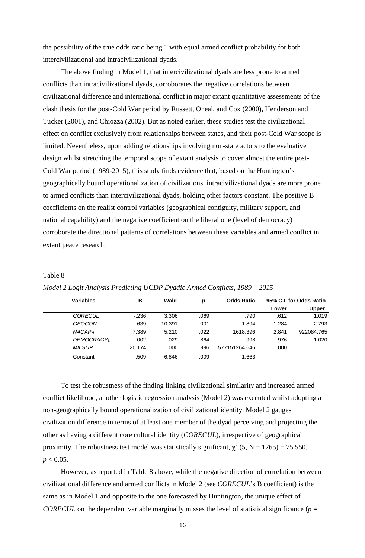the possibility of the true odds ratio being 1 with equal armed conflict probability for both intercivilizational and intracivilizational dyads.

 The above finding in Model 1, that intercivilizational dyads are less prone to armed conflicts than intracivilizational dyads, corroborates the negative correlations between civilizational difference and international conflict in major extant quantitative assessments of the clash thesis for the post-Cold War period by Russett, Oneal, and Cox (2000), Henderson and Tucker (2001), and Chiozza (2002). But as noted earlier, these studies test the civilizational effect on conflict exclusively from relationships between states, and their post-Cold War scope is limited. Nevertheless, upon adding relationships involving non-state actors to the evaluative design whilst stretching the temporal scope of extant analysis to cover almost the entire post-Cold War period (1989-2015), this study finds evidence that, based on the Huntington's geographically bound operationalization of civilizations, intracivilizational dyads are more prone to armed conflicts than intercivilizational dyads, holding other factors constant. The positive B coefficients on the realist control variables (geographical contiguity, military support, and national capability) and the negative coefficient on the liberal one (level of democracy) corroborate the directional patterns of correlations between these variables and armed conflict in extant peace research.

| <b>Variables</b>   | в       | Wald   | р    | <b>Odds Ratio</b> |       | 95% C.I. for Odds Ratio |
|--------------------|---------|--------|------|-------------------|-------|-------------------------|
|                    |         |        |      |                   | Lower | Upper                   |
| <b>CORECUL</b>     | $-236$  | 3.306  | .069 | .790              | .612  | 1.019                   |
| <b>GEOCON</b>      | .639    | 10.391 | .001 | 1.894             | 1.284 | 2.793                   |
| NACAP <sub>H</sub> | 7.389   | 5.210  | .022 | 1618.396          | 2.841 | 922084.765              |
| <b>DEMOCRACY</b> L | $-.002$ | .029   | .864 | .998              | .976  | 1.020                   |
| <b>MILSUP</b>      | 20.174  | .000   | .996 | 577151264.646     | .000  | . .                     |
| Constant           | .509    | 6.846  | .009 | 1.663             |       |                         |

*Model 2 Logit Analysis Predicting UCDP Dyadic Armed Conflicts, 1989 – 2015*

Table 8

 To test the robustness of the finding linking civilizational similarity and increased armed conflict likelihood, another logistic regression analysis (Model 2) was executed whilst adopting a non-geographically bound operationalization of civilizational identity. Model 2 gauges civilization difference in terms of at least one member of the dyad perceiving and projecting the other as having a different core cultural identity (*CORECUL*), irrespective of geographical proximity. The robustness test model was statistically significant,  $\chi^2$  (5, N = 1765) = 75.550,  $p < 0.05$ .

 However, as reported in Table 8 above, while the negative direction of correlation between civilizational difference and armed conflicts in Model 2 (see *CORECUL*'s B coefficient) is the same as in Model 1 and opposite to the one forecasted by Huntington, the unique effect of *CORECUL* on the dependent variable marginally misses the level of statistical significance ( $p =$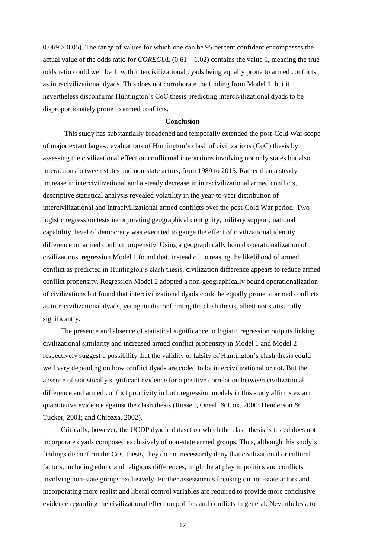$0.069 > 0.05$ ). The range of values for which one can be 95 percent confident encompasses the actual value of the odds ratio for *CORECUL* (0.61 – 1.02) contains the value 1, meaning the true odds ratio could well be 1, with intercivilizational dyads being equally prone to armed conflicts as intracivilizational dyads. This does not corroborate the finding from Model 1, but it nevertheless disconfirms Huntington's CoC thesis predicting intercivilizational dyads to be disproportionately prone to armed conflicts.

### **Conclusion**

This study has substantially broadened and temporally extended the post-Cold War scope of major extant large-*n* evaluations of Huntington's clash of civilizations (CoC) thesis by assessing the civilizational effect on conflictual interactions involving not only states but also interactions between states and non-state actors, from 1989 to 2015. Rather than a steady increase in intercivilizational and a steady decrease in intracivilizational armed conflicts, descriptive statistical analysis revealed volatility in the year-to-year distribution of intercivilizational and intracivilizational armed conflicts over the post-Cold War period. Two logistic regression tests incorporating geographical contiguity, military support, national capability, level of democracy was executed to gauge the effect of civilizational identity difference on armed conflict propensity. Using a geographically bound operationalization of civilizations, regression Model 1 found that, instead of increasing the likelihood of armed conflict as predicted in Huntington's clash thesis, civilization difference appears to reduce armed conflict propensity. Regression Model 2 adopted a non-geographically bound operationalization of civilizations but found that intercivilizational dyads could be equally prone to armed conflicts as intracivilizational dyads, yet again disconfirming the clash thesis, albeit not statistically significantly.

 The presence and absence of statistical significance in logistic regression outputs linking civilizational similarity and increased armed conflict propensity in Model 1 and Model 2 respectively suggest a possibility that the validity or falsity of Huntington's clash thesis could well vary depending on how conflict dyads are coded to be intercivilizational or not. But the absence of statistically significant evidence for a positive correlation between civilizational difference and armed conflict proclivity in both regression models in this study affirms extant quantitative evidence against the clash thesis (Russett, Oneal, & Cox, 2000; Henderson  $\&$ Tucker, 2001; and Chiozza, 2002).

 Critically, however, the UCDP dyadic dataset on which the clash thesis is tested does not incorporate dyads composed exclusively of non-state armed groups. Thus, although this study's findings disconfirm the CoC thesis, they do not necessarily deny that civilizational or cultural factors, including ethnic and religious differences, might be at play in politics and conflicts involving non-state groups exclusively. Further assessments focusing on non-state actors and incorporating more realist and liberal control variables are required to provide more conclusive evidence regarding the civilizational effect on politics and conflicts in general. Nevertheless, to

17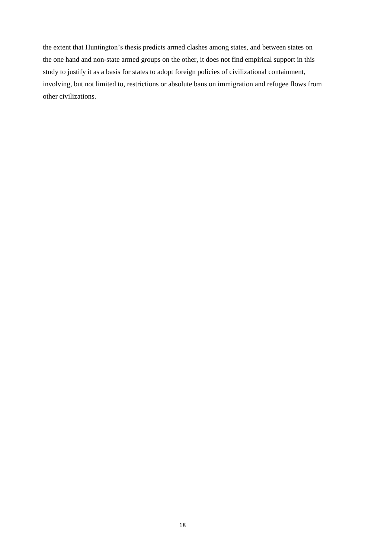the extent that Huntington's thesis predicts armed clashes among states, and between states on the one hand and non-state armed groups on the other, it does not find empirical support in this study to justify it as a basis for states to adopt foreign policies of civilizational containment, involving, but not limited to, restrictions or absolute bans on immigration and refugee flows from other civilizations.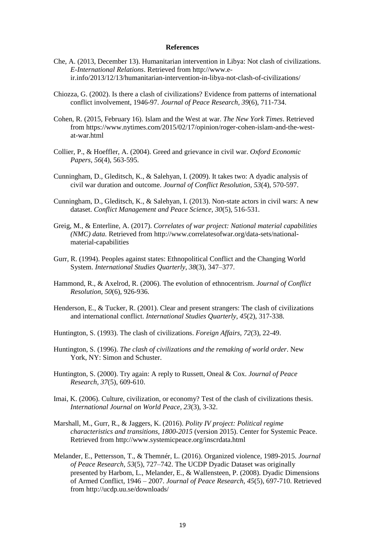#### **References**

- Che, A. (2013, December 13). Humanitarian intervention in Libya: Not clash of civilizations. *E-International Relations*. Retrieved from http://www.eir.info/2013/12/13/humanitarian-intervention-in-libya-not-clash-of-civilizations/
- Chiozza, G. (2002). Is there a clash of civilizations? Evidence from patterns of international conflict involvement, 1946-97. *Journal of Peace Research, 39*(6), 711-734.
- Cohen, R. (2015, February 16). Islam and the West at war. *The New York Times*. Retrieved from https://www.nytimes.com/2015/02/17/opinion/roger-cohen-islam-and-the-westat-war.html
- Collier, P., & Hoeffler, A. (2004). Greed and grievance in civil war. *Oxford Economic Papers, 56*(4), 563-595.
- Cunningham, D., Gleditsch, K., & Salehyan, I. (2009). It takes two: A dyadic analysis of civil war duration and outcome. *Journal of Conflict Resolution, 53*(4), 570-597.
- Cunningham, D., Gleditsch, K., & Salehyan, I. (2013). Non-state actors in civil wars: A new dataset. *Conflict Management and Peace Science, 30*(5), 516-531.
- Greig, M., & Enterline, A. (2017). *Correlates of war project: National material capabilities (NMC) data.* Retrieved from http://www.correlatesofwar.org/data-sets/nationalmaterial-capabilities
- Gurr, R. (1994). Peoples against states: Ethnopolitical Conflict and the Changing World System. *International Studies Quarterly*, *38*(3), 347–377.
- Hammond, R., & Axelrod, R. (2006). The evolution of ethnocentrism. *Journal of Conflict Resolution, 50*(6), 926-936.
- Henderson, E., & Tucker, R. (2001). Clear and present strangers: The clash of civilizations and international conflict. *International Studies Quarterly, 45*(2), 317-338.
- Huntington, S. (1993). The clash of civilizations. *Foreign Affairs, 72*(3), 22-49.
- Huntington, S. (1996). *The clash of civilizations and the remaking of world order*. New York, NY: Simon and Schuster.
- Huntington, S. (2000). Try again: A reply to Russett, Oneal & Cox. *Journal of Peace Research, 37*(5), 609-610.
- Imai, K. (2006). Culture, civilization, or economy? Test of the clash of civilizations thesis. *International Journal on World Peace, 23*(3), 3-32.
- Marshall, M., Gurr, R., & Jaggers, K. (2016). *Polity IV project: Political regime characteristics and transitions, 1800-2015* (version 2015). Center for Systemic Peace. Retrieved from http://www.systemicpeace.org/inscrdata.html
- Melander, E., Pettersson, T., & Themnér, L. (2016). Organized violence, 1989-2015. *Journal of Peace Research, 53*(5), 727–742. The UCDP Dyadic Dataset was originally presented by Harbom, L., Melander, E., & Wallensteen, P. (2008). Dyadic Dimensions of Armed Conflict, 1946 – 2007. *Journal of Peace Research, 45*(5), 697-710. Retrieved from http://ucdp.uu.se/downloads/